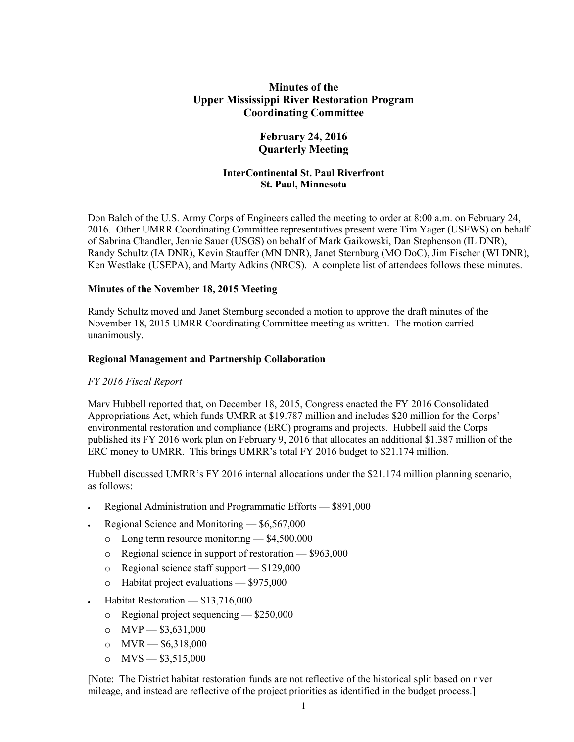# **Minutes of the Upper Mississippi River Restoration Program Coordinating Committee**

# **February 24, 2016 Quarterly Meeting**

### **InterContinental St. Paul Riverfront St. Paul, Minnesota**

Don Balch of the U.S. Army Corps of Engineers called the meeting to order at 8:00 a.m. on February 24, 2016. Other UMRR Coordinating Committee representatives present were Tim Yager (USFWS) on behalf of Sabrina Chandler, Jennie Sauer (USGS) on behalf of Mark Gaikowski, Dan Stephenson (IL DNR), Randy Schultz (IA DNR), Kevin Stauffer (MN DNR), Janet Sternburg (MO DoC), Jim Fischer (WI DNR), Ken Westlake (USEPA), and Marty Adkins (NRCS). A complete list of attendees follows these minutes.

#### **Minutes of the November 18, 2015 Meeting**

Randy Schultz moved and Janet Sternburg seconded a motion to approve the draft minutes of the November 18, 2015 UMRR Coordinating Committee meeting as written. The motion carried unanimously.

### **Regional Management and Partnership Collaboration**

#### *FY 2016 Fiscal Report*

Marv Hubbell reported that, on December 18, 2015, Congress enacted the FY 2016 Consolidated Appropriations Act, which funds UMRR at \$19.787 million and includes \$20 million for the Corps' environmental restoration and compliance (ERC) programs and projects. Hubbell said the Corps published its FY 2016 work plan on February 9, 2016 that allocates an additional \$1.387 million of the ERC money to UMRR. This brings UMRR's total FY 2016 budget to \$21.174 million.

Hubbell discussed UMRR's FY 2016 internal allocations under the \$21.174 million planning scenario, as follows:

- Regional Administration and Programmatic Efforts \$891,000
- Regional Science and Monitoring \$6,567,000
	- o Long term resource monitoring \$4,500,000
	- o Regional science in support of restoration \$963,000
	- o Regional science staff support \$129,000
	- o Habitat project evaluations \$975,000
- Habitat Restoration \$13,716,000
	- o Regional project sequencing \$250,000
	- $o$  MVP  $-$  \$3,631,000
	- o  $MVR = $6,318,000$
	- o  $MVS = $3,515,000$

[Note: The District habitat restoration funds are not reflective of the historical split based on river mileage, and instead are reflective of the project priorities as identified in the budget process.]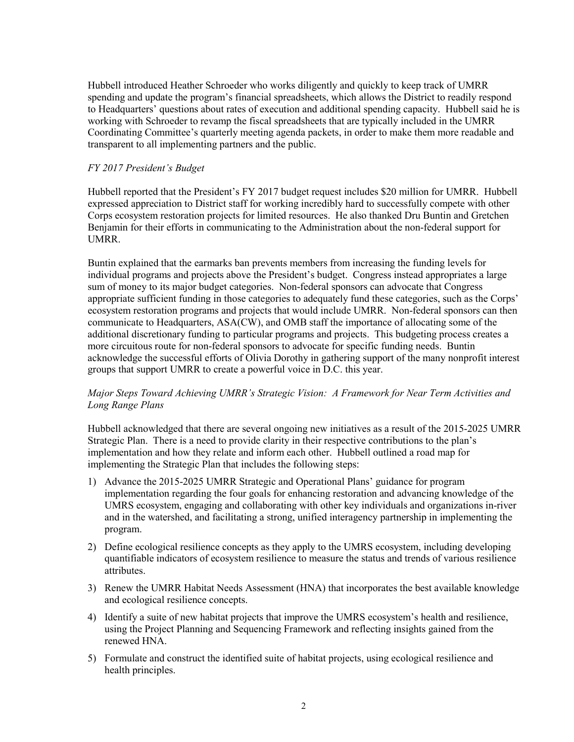Hubbell introduced Heather Schroeder who works diligently and quickly to keep track of UMRR spending and update the program's financial spreadsheets, which allows the District to readily respond to Headquarters' questions about rates of execution and additional spending capacity. Hubbell said he is working with Schroeder to revamp the fiscal spreadsheets that are typically included in the UMRR Coordinating Committee's quarterly meeting agenda packets, in order to make them more readable and transparent to all implementing partners and the public.

### *FY 2017 President's Budget*

Hubbell reported that the President's FY 2017 budget request includes \$20 million for UMRR. Hubbell expressed appreciation to District staff for working incredibly hard to successfully compete with other Corps ecosystem restoration projects for limited resources. He also thanked Dru Buntin and Gretchen Benjamin for their efforts in communicating to the Administration about the non-federal support for **UMRR** 

Buntin explained that the earmarks ban prevents members from increasing the funding levels for individual programs and projects above the President's budget. Congress instead appropriates a large sum of money to its major budget categories. Non-federal sponsors can advocate that Congress appropriate sufficient funding in those categories to adequately fund these categories, such as the Corps' ecosystem restoration programs and projects that would include UMRR. Non-federal sponsors can then communicate to Headquarters, ASA(CW), and OMB staff the importance of allocating some of the additional discretionary funding to particular programs and projects. This budgeting process creates a more circuitous route for non-federal sponsors to advocate for specific funding needs. Buntin acknowledge the successful efforts of Olivia Dorothy in gathering support of the many nonprofit interest groups that support UMRR to create a powerful voice in D.C. this year.

### *Major Steps Toward Achieving UMRR's Strategic Vision: A Framework for Near Term Activities and Long Range Plans*

Hubbell acknowledged that there are several ongoing new initiatives as a result of the 2015-2025 UMRR Strategic Plan. There is a need to provide clarity in their respective contributions to the plan's implementation and how they relate and inform each other. Hubbell outlined a road map for implementing the Strategic Plan that includes the following steps:

- 1) Advance the 2015-2025 UMRR Strategic and Operational Plans' guidance for program implementation regarding the four goals for enhancing restoration and advancing knowledge of the UMRS ecosystem, engaging and collaborating with other key individuals and organizations in-river and in the watershed, and facilitating a strong, unified interagency partnership in implementing the program.
- 2) Define ecological resilience concepts as they apply to the UMRS ecosystem, including developing quantifiable indicators of ecosystem resilience to measure the status and trends of various resilience attributes.
- 3) Renew the UMRR Habitat Needs Assessment (HNA) that incorporates the best available knowledge and ecological resilience concepts.
- 4) Identify a suite of new habitat projects that improve the UMRS ecosystem's health and resilience, using the Project Planning and Sequencing Framework and reflecting insights gained from the renewed HNA.
- 5) Formulate and construct the identified suite of habitat projects, using ecological resilience and health principles.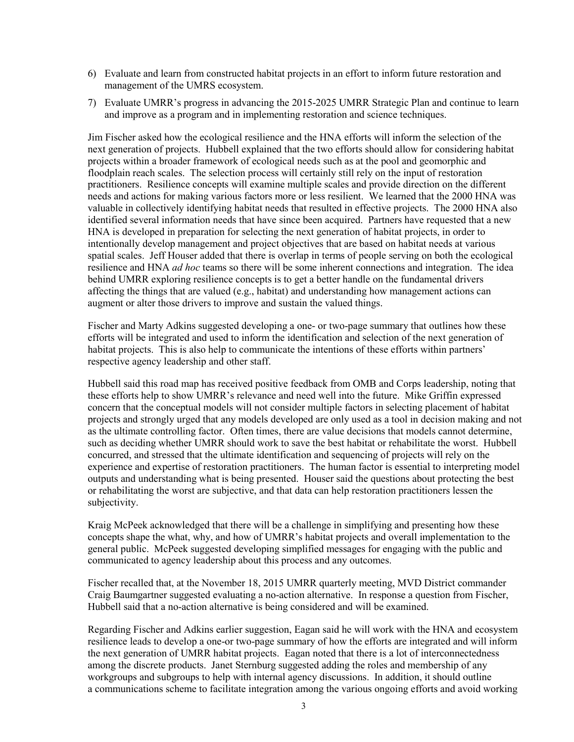- 6) Evaluate and learn from constructed habitat projects in an effort to inform future restoration and management of the UMRS ecosystem.
- 7) Evaluate UMRR's progress in advancing the 2015-2025 UMRR Strategic Plan and continue to learn and improve as a program and in implementing restoration and science techniques.

Jim Fischer asked how the ecological resilience and the HNA efforts will inform the selection of the next generation of projects. Hubbell explained that the two efforts should allow for considering habitat projects within a broader framework of ecological needs such as at the pool and geomorphic and floodplain reach scales. The selection process will certainly still rely on the input of restoration practitioners. Resilience concepts will examine multiple scales and provide direction on the different needs and actions for making various factors more or less resilient. We learned that the 2000 HNA was valuable in collectively identifying habitat needs that resulted in effective projects. The 2000 HNA also identified several information needs that have since been acquired. Partners have requested that a new HNA is developed in preparation for selecting the next generation of habitat projects, in order to intentionally develop management and project objectives that are based on habitat needs at various spatial scales. Jeff Houser added that there is overlap in terms of people serving on both the ecological resilience and HNA *ad hoc* teams so there will be some inherent connections and integration. The idea behind UMRR exploring resilience concepts is to get a better handle on the fundamental drivers affecting the things that are valued (e.g., habitat) and understanding how management actions can augment or alter those drivers to improve and sustain the valued things.

Fischer and Marty Adkins suggested developing a one- or two-page summary that outlines how these efforts will be integrated and used to inform the identification and selection of the next generation of habitat projects. This is also help to communicate the intentions of these efforts within partners' respective agency leadership and other staff.

Hubbell said this road map has received positive feedback from OMB and Corps leadership, noting that these efforts help to show UMRR's relevance and need well into the future. Mike Griffin expressed concern that the conceptual models will not consider multiple factors in selecting placement of habitat projects and strongly urged that any models developed are only used as a tool in decision making and not as the ultimate controlling factor. Often times, there are value decisions that models cannot determine, such as deciding whether UMRR should work to save the best habitat or rehabilitate the worst. Hubbell concurred, and stressed that the ultimate identification and sequencing of projects will rely on the experience and expertise of restoration practitioners. The human factor is essential to interpreting model outputs and understanding what is being presented. Houser said the questions about protecting the best or rehabilitating the worst are subjective, and that data can help restoration practitioners lessen the subjectivity.

Kraig McPeek acknowledged that there will be a challenge in simplifying and presenting how these concepts shape the what, why, and how of UMRR's habitat projects and overall implementation to the general public. McPeek suggested developing simplified messages for engaging with the public and communicated to agency leadership about this process and any outcomes.

Fischer recalled that, at the November 18, 2015 UMRR quarterly meeting, MVD District commander Craig Baumgartner suggested evaluating a no-action alternative. In response a question from Fischer, Hubbell said that a no-action alternative is being considered and will be examined.

Regarding Fischer and Adkins earlier suggestion, Eagan said he will work with the HNA and ecosystem resilience leads to develop a one-or two-page summary of how the efforts are integrated and will inform the next generation of UMRR habitat projects. Eagan noted that there is a lot of interconnectedness among the discrete products. Janet Sternburg suggested adding the roles and membership of any workgroups and subgroups to help with internal agency discussions. In addition, it should outline a communications scheme to facilitate integration among the various ongoing efforts and avoid working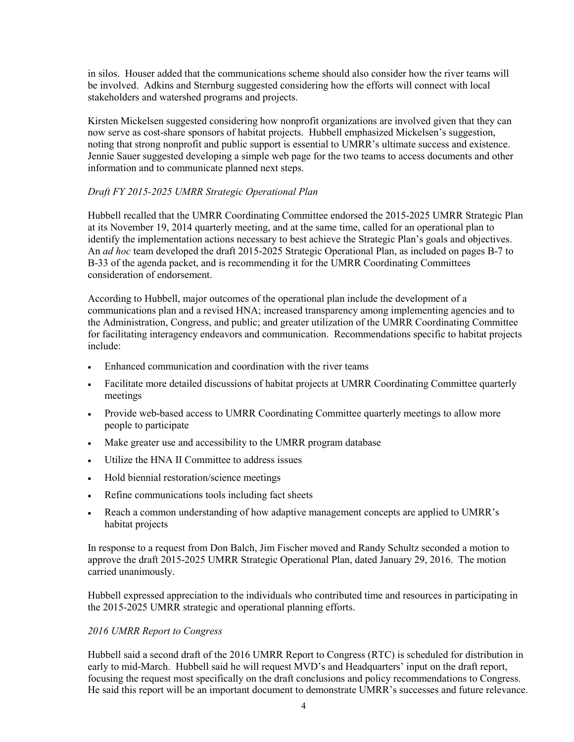in silos. Houser added that the communications scheme should also consider how the river teams will be involved. Adkins and Sternburg suggested considering how the efforts will connect with local stakeholders and watershed programs and projects.

Kirsten Mickelsen suggested considering how nonprofit organizations are involved given that they can now serve as cost-share sponsors of habitat projects. Hubbell emphasized Mickelsen's suggestion, noting that strong nonprofit and public support is essential to UMRR's ultimate success and existence. Jennie Sauer suggested developing a simple web page for the two teams to access documents and other information and to communicate planned next steps.

# *Draft FY 2015-2025 UMRR Strategic Operational Plan*

Hubbell recalled that the UMRR Coordinating Committee endorsed the 2015-2025 UMRR Strategic Plan at its November 19, 2014 quarterly meeting, and at the same time, called for an operational plan to identify the implementation actions necessary to best achieve the Strategic Plan's goals and objectives. An *ad hoc* team developed the draft 2015-2025 Strategic Operational Plan, as included on pages B-7 to B-33 of the agenda packet, and is recommending it for the UMRR Coordinating Committees consideration of endorsement.

According to Hubbell, major outcomes of the operational plan include the development of a communications plan and a revised HNA; increased transparency among implementing agencies and to the Administration, Congress, and public; and greater utilization of the UMRR Coordinating Committee for facilitating interagency endeavors and communication. Recommendations specific to habitat projects include:

- Enhanced communication and coordination with the river teams
- Facilitate more detailed discussions of habitat projects at UMRR Coordinating Committee quarterly meetings
- Provide web-based access to UMRR Coordinating Committee quarterly meetings to allow more people to participate
- Make greater use and accessibility to the UMRR program database
- Utilize the HNA II Committee to address issues
- Hold biennial restoration/science meetings
- Refine communications tools including fact sheets
- Reach a common understanding of how adaptive management concepts are applied to UMRR's habitat projects

In response to a request from Don Balch, Jim Fischer moved and Randy Schultz seconded a motion to approve the draft 2015-2025 UMRR Strategic Operational Plan, dated January 29, 2016. The motion carried unanimously.

Hubbell expressed appreciation to the individuals who contributed time and resources in participating in the 2015-2025 UMRR strategic and operational planning efforts.

#### *2016 UMRR Report to Congress*

Hubbell said a second draft of the 2016 UMRR Report to Congress (RTC) is scheduled for distribution in early to mid-March. Hubbell said he will request MVD's and Headquarters' input on the draft report, focusing the request most specifically on the draft conclusions and policy recommendations to Congress. He said this report will be an important document to demonstrate UMRR's successes and future relevance.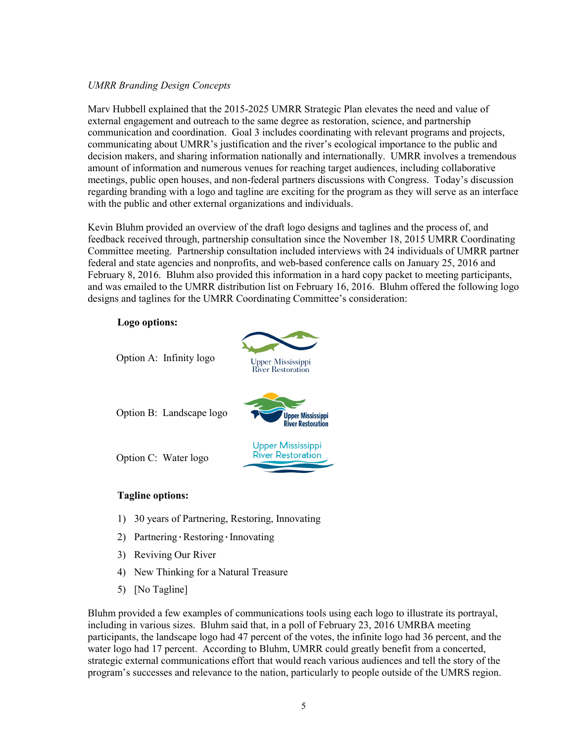### *UMRR Branding Design Concepts*

Marv Hubbell explained that the 2015-2025 UMRR Strategic Plan elevates the need and value of external engagement and outreach to the same degree as restoration, science, and partnership communication and coordination. Goal 3 includes coordinating with relevant programs and projects, communicating about UMRR's justification and the river's ecological importance to the public and decision makers, and sharing information nationally and internationally. UMRR involves a tremendous amount of information and numerous venues for reaching target audiences, including collaborative meetings, public open houses, and non-federal partners discussions with Congress. Today's discussion regarding branding with a logo and tagline are exciting for the program as they will serve as an interface with the public and other external organizations and individuals.

Kevin Bluhm provided an overview of the draft logo designs and taglines and the process of, and feedback received through, partnership consultation since the November 18, 2015 UMRR Coordinating Committee meeting. Partnership consultation included interviews with 24 individuals of UMRR partner federal and state agencies and nonprofits, and web-based conference calls on January 25, 2016 and February 8, 2016. Bluhm also provided this information in a hard copy packet to meeting participants, and was emailed to the UMRR distribution list on February 16, 2016. Bluhm offered the following logo designs and taglines for the UMRR Coordinating Committee's consideration:



### **Tagline options:**

- 1) 30 years of Partnering, Restoring, Innovating
- 2) Partnering∙Restoring∙Innovating
- 3) Reviving Our River
- 4) New Thinking for a Natural Treasure
- 5) [No Tagline]

Bluhm provided a few examples of communications tools using each logo to illustrate its portrayal, including in various sizes. Bluhm said that, in a poll of February 23, 2016 UMRBA meeting participants, the landscape logo had 47 percent of the votes, the infinite logo had 36 percent, and the water logo had 17 percent. According to Bluhm, UMRR could greatly benefit from a concerted, strategic external communications effort that would reach various audiences and tell the story of the program's successes and relevance to the nation, particularly to people outside of the UMRS region.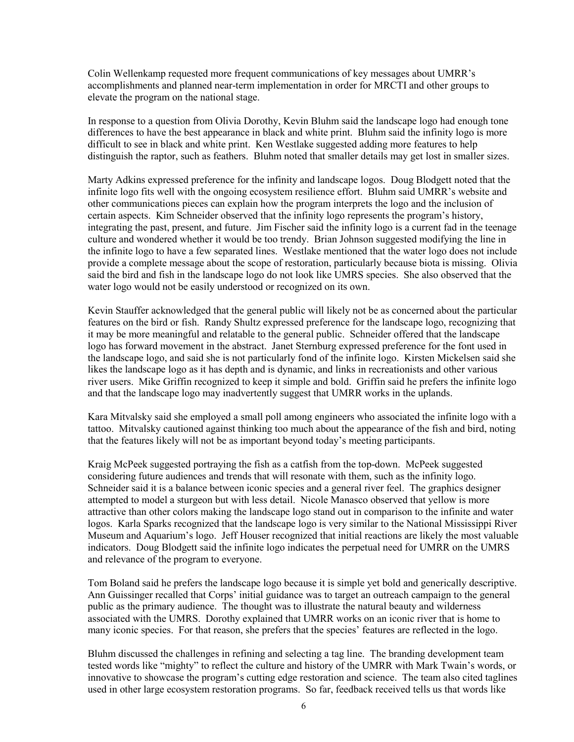Colin Wellenkamp requested more frequent communications of key messages about UMRR's accomplishments and planned near-term implementation in order for MRCTI and other groups to elevate the program on the national stage.

In response to a question from Olivia Dorothy, Kevin Bluhm said the landscape logo had enough tone differences to have the best appearance in black and white print. Bluhm said the infinity logo is more difficult to see in black and white print. Ken Westlake suggested adding more features to help distinguish the raptor, such as feathers. Bluhm noted that smaller details may get lost in smaller sizes.

Marty Adkins expressed preference for the infinity and landscape logos. Doug Blodgett noted that the infinite logo fits well with the ongoing ecosystem resilience effort. Bluhm said UMRR's website and other communications pieces can explain how the program interprets the logo and the inclusion of certain aspects. Kim Schneider observed that the infinity logo represents the program's history, integrating the past, present, and future. Jim Fischer said the infinity logo is a current fad in the teenage culture and wondered whether it would be too trendy. Brian Johnson suggested modifying the line in the infinite logo to have a few separated lines. Westlake mentioned that the water logo does not include provide a complete message about the scope of restoration, particularly because biota is missing. Olivia said the bird and fish in the landscape logo do not look like UMRS species. She also observed that the water logo would not be easily understood or recognized on its own.

Kevin Stauffer acknowledged that the general public will likely not be as concerned about the particular features on the bird or fish. Randy Shultz expressed preference for the landscape logo, recognizing that it may be more meaningful and relatable to the general public. Schneider offered that the landscape logo has forward movement in the abstract. Janet Sternburg expressed preference for the font used in the landscape logo, and said she is not particularly fond of the infinite logo. Kirsten Mickelsen said she likes the landscape logo as it has depth and is dynamic, and links in recreationists and other various river users. Mike Griffin recognized to keep it simple and bold. Griffin said he prefers the infinite logo and that the landscape logo may inadvertently suggest that UMRR works in the uplands.

Kara Mitvalsky said she employed a small poll among engineers who associated the infinite logo with a tattoo. Mitvalsky cautioned against thinking too much about the appearance of the fish and bird, noting that the features likely will not be as important beyond today's meeting participants.

Kraig McPeek suggested portraying the fish as a catfish from the top-down. McPeek suggested considering future audiences and trends that will resonate with them, such as the infinity logo. Schneider said it is a balance between iconic species and a general river feel. The graphics designer attempted to model a sturgeon but with less detail. Nicole Manasco observed that yellow is more attractive than other colors making the landscape logo stand out in comparison to the infinite and water logos. Karla Sparks recognized that the landscape logo is very similar to the National Mississippi River Museum and Aquarium's logo. Jeff Houser recognized that initial reactions are likely the most valuable indicators. Doug Blodgett said the infinite logo indicates the perpetual need for UMRR on the UMRS and relevance of the program to everyone.

Tom Boland said he prefers the landscape logo because it is simple yet bold and generically descriptive. Ann Guissinger recalled that Corps' initial guidance was to target an outreach campaign to the general public as the primary audience. The thought was to illustrate the natural beauty and wilderness associated with the UMRS. Dorothy explained that UMRR works on an iconic river that is home to many iconic species. For that reason, she prefers that the species' features are reflected in the logo.

Bluhm discussed the challenges in refining and selecting a tag line. The branding development team tested words like "mighty" to reflect the culture and history of the UMRR with Mark Twain's words, or innovative to showcase the program's cutting edge restoration and science. The team also cited taglines used in other large ecosystem restoration programs. So far, feedback received tells us that words like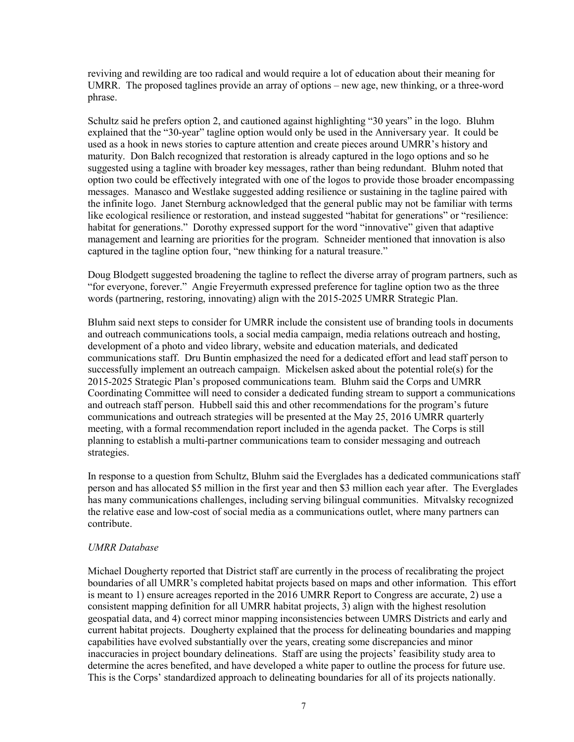reviving and rewilding are too radical and would require a lot of education about their meaning for UMRR. The proposed taglines provide an array of options – new age, new thinking, or a three-word phrase.

Schultz said he prefers option 2, and cautioned against highlighting "30 years" in the logo. Bluhm explained that the "30-year" tagline option would only be used in the Anniversary year. It could be used as a hook in news stories to capture attention and create pieces around UMRR's history and maturity. Don Balch recognized that restoration is already captured in the logo options and so he suggested using a tagline with broader key messages, rather than being redundant. Bluhm noted that option two could be effectively integrated with one of the logos to provide those broader encompassing messages. Manasco and Westlake suggested adding resilience or sustaining in the tagline paired with the infinite logo. Janet Sternburg acknowledged that the general public may not be familiar with terms like ecological resilience or restoration, and instead suggested "habitat for generations" or "resilience: habitat for generations." Dorothy expressed support for the word "innovative" given that adaptive management and learning are priorities for the program. Schneider mentioned that innovation is also captured in the tagline option four, "new thinking for a natural treasure."

Doug Blodgett suggested broadening the tagline to reflect the diverse array of program partners, such as "for everyone, forever." Angie Freyermuth expressed preference for tagline option two as the three words (partnering, restoring, innovating) align with the 2015-2025 UMRR Strategic Plan.

Bluhm said next steps to consider for UMRR include the consistent use of branding tools in documents and outreach communications tools, a social media campaign, media relations outreach and hosting, development of a photo and video library, website and education materials, and dedicated communications staff. Dru Buntin emphasized the need for a dedicated effort and lead staff person to successfully implement an outreach campaign. Mickelsen asked about the potential role(s) for the 2015-2025 Strategic Plan's proposed communications team. Bluhm said the Corps and UMRR Coordinating Committee will need to consider a dedicated funding stream to support a communications and outreach staff person. Hubbell said this and other recommendations for the program's future communications and outreach strategies will be presented at the May 25, 2016 UMRR quarterly meeting, with a formal recommendation report included in the agenda packet. The Corps is still planning to establish a multi-partner communications team to consider messaging and outreach strategies.

In response to a question from Schultz, Bluhm said the Everglades has a dedicated communications staff person and has allocated \$5 million in the first year and then \$3 million each year after. The Everglades has many communications challenges, including serving bilingual communities. Mitvalsky recognized the relative ease and low-cost of social media as a communications outlet, where many partners can contribute.

#### *UMRR Database*

Michael Dougherty reported that District staff are currently in the process of recalibrating the project boundaries of all UMRR's completed habitat projects based on maps and other information. This effort is meant to 1) ensure acreages reported in the 2016 UMRR Report to Congress are accurate, 2) use a consistent mapping definition for all UMRR habitat projects, 3) align with the highest resolution geospatial data, and 4) correct minor mapping inconsistencies between UMRS Districts and early and current habitat projects. Dougherty explained that the process for delineating boundaries and mapping capabilities have evolved substantially over the years, creating some discrepancies and minor inaccuracies in project boundary delineations. Staff are using the projects' feasibility study area to determine the acres benefited, and have developed a white paper to outline the process for future use. This is the Corps' standardized approach to delineating boundaries for all of its projects nationally.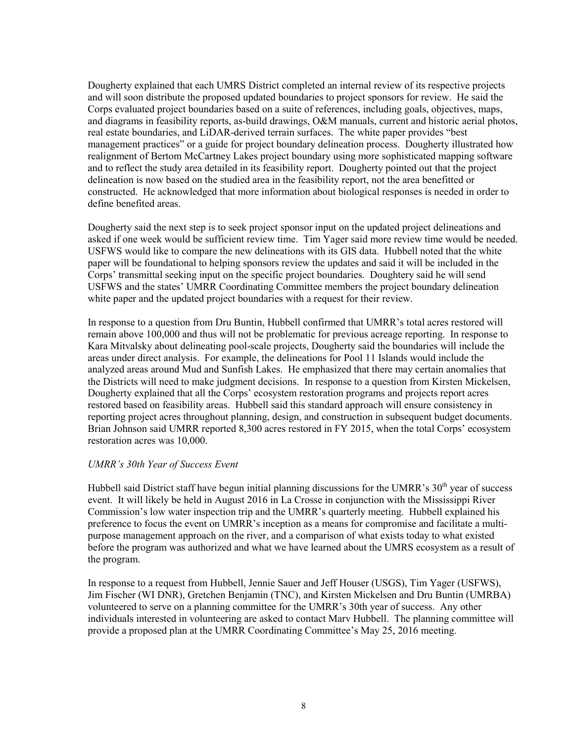Dougherty explained that each UMRS District completed an internal review of its respective projects and will soon distribute the proposed updated boundaries to project sponsors for review. He said the Corps evaluated project boundaries based on a suite of references, including goals, objectives, maps, and diagrams in feasibility reports, as-build drawings, O&M manuals, current and historic aerial photos, real estate boundaries, and LiDAR-derived terrain surfaces. The white paper provides "best management practices" or a guide for project boundary delineation process. Dougherty illustrated how realignment of Bertom McCartney Lakes project boundary using more sophisticated mapping software and to reflect the study area detailed in its feasibility report. Dougherty pointed out that the project delineation is now based on the studied area in the feasibility report, not the area benefitted or constructed. He acknowledged that more information about biological responses is needed in order to define benefited areas.

Dougherty said the next step is to seek project sponsor input on the updated project delineations and asked if one week would be sufficient review time. Tim Yager said more review time would be needed. USFWS would like to compare the new delineations with its GIS data. Hubbell noted that the white paper will be foundational to helping sponsors review the updates and said it will be included in the Corps' transmittal seeking input on the specific project boundaries. Doughtery said he will send USFWS and the states' UMRR Coordinating Committee members the project boundary delineation white paper and the updated project boundaries with a request for their review.

In response to a question from Dru Buntin, Hubbell confirmed that UMRR's total acres restored will remain above 100,000 and thus will not be problematic for previous acreage reporting. In response to Kara Mitvalsky about delineating pool-scale projects, Dougherty said the boundaries will include the areas under direct analysis. For example, the delineations for Pool 11 Islands would include the analyzed areas around Mud and Sunfish Lakes. He emphasized that there may certain anomalies that the Districts will need to make judgment decisions. In response to a question from Kirsten Mickelsen, Dougherty explained that all the Corps' ecosystem restoration programs and projects report acres restored based on feasibility areas. Hubbell said this standard approach will ensure consistency in reporting project acres throughout planning, design, and construction in subsequent budget documents. Brian Johnson said UMRR reported 8,300 acres restored in FY 2015, when the total Corps' ecosystem restoration acres was 10,000.

#### *UMRR's 30th Year of Success Event*

Hubbell said District staff have begun initial planning discussions for the UMRR's  $30<sup>th</sup>$  year of success event. It will likely be held in August 2016 in La Crosse in conjunction with the Mississippi River Commission's low water inspection trip and the UMRR's quarterly meeting. Hubbell explained his preference to focus the event on UMRR's inception as a means for compromise and facilitate a multipurpose management approach on the river, and a comparison of what exists today to what existed before the program was authorized and what we have learned about the UMRS ecosystem as a result of the program.

In response to a request from Hubbell, Jennie Sauer and Jeff Houser (USGS), Tim Yager (USFWS), Jim Fischer (WI DNR), Gretchen Benjamin (TNC), and Kirsten Mickelsen and Dru Buntin (UMRBA) volunteered to serve on a planning committee for the UMRR's 30th year of success. Any other individuals interested in volunteering are asked to contact Marv Hubbell. The planning committee will provide a proposed plan at the UMRR Coordinating Committee's May 25, 2016 meeting.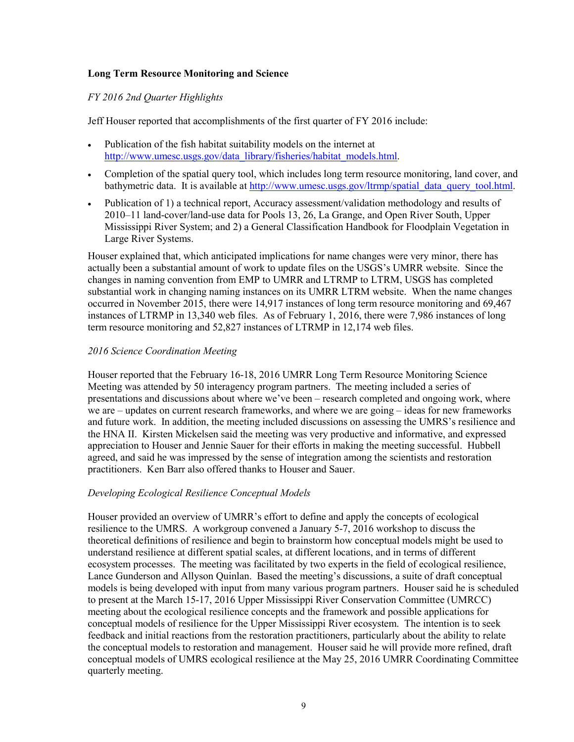### **Long Term Resource Monitoring and Science**

### *FY 2016 2nd Quarter Highlights*

Jeff Houser reported that accomplishments of the first quarter of FY 2016 include:

- Publication of the fish habitat suitability models on the internet at [http://www.umesc.usgs.gov/data\\_library/fisheries/habitat\\_models.html.](http://www.umesc.usgs.gov/data_library/fisheries/habitat_models.html)
- Completion of the spatial query tool, which includes long term resource monitoring, land cover, and bathymetric data. It is available at [http://www.umesc.usgs.gov/ltrmp/spatial\\_data\\_query\\_tool.html.](http://www.umesc.usgs.gov/ltrmp/spatial_data_query_tool.html)
- Publication of 1) a technical report, Accuracy assessment/validation methodology and results of 2010–11 land-cover/land-use data for Pools 13, 26, La Grange, and Open River South, Upper Mississippi River System; and 2) a General Classification Handbook for Floodplain Vegetation in Large River Systems.

Houser explained that, which anticipated implications for name changes were very minor, there has actually been a substantial amount of work to update files on the USGS's UMRR website. Since the changes in naming convention from EMP to UMRR and LTRMP to LTRM, USGS has completed substantial work in changing naming instances on its UMRR LTRM website. When the name changes occurred in November 2015, there were 14,917 instances of long term resource monitoring and 69,467 instances of LTRMP in 13,340 web files. As of February 1, 2016, there were 7,986 instances of long term resource monitoring and 52,827 instances of LTRMP in 12,174 web files.

### *2016 Science Coordination Meeting*

Houser reported that the February 16-18, 2016 UMRR Long Term Resource Monitoring Science Meeting was attended by 50 interagency program partners. The meeting included a series of presentations and discussions about where we've been – research completed and ongoing work, where we are – updates on current research frameworks, and where we are going – ideas for new frameworks and future work. In addition, the meeting included discussions on assessing the UMRS's resilience and the HNA II. Kirsten Mickelsen said the meeting was very productive and informative, and expressed appreciation to Houser and Jennie Sauer for their efforts in making the meeting successful. Hubbell agreed, and said he was impressed by the sense of integration among the scientists and restoration practitioners. Ken Barr also offered thanks to Houser and Sauer.

#### *Developing Ecological Resilience Conceptual Models*

Houser provided an overview of UMRR's effort to define and apply the concepts of ecological resilience to the UMRS. A workgroup convened a January 5-7, 2016 workshop to discuss the theoretical definitions of resilience and begin to brainstorm how conceptual models might be used to understand resilience at different spatial scales, at different locations, and in terms of different ecosystem processes. The meeting was facilitated by two experts in the field of ecological resilience, Lance Gunderson and Allyson Quinlan. Based the meeting's discussions, a suite of draft conceptual models is being developed with input from many various program partners. Houser said he is scheduled to present at the March 15-17, 2016 Upper Mississippi River Conservation Committee (UMRCC) meeting about the ecological resilience concepts and the framework and possible applications for conceptual models of resilience for the Upper Mississippi River ecosystem. The intention is to seek feedback and initial reactions from the restoration practitioners, particularly about the ability to relate the conceptual models to restoration and management. Houser said he will provide more refined, draft conceptual models of UMRS ecological resilience at the May 25, 2016 UMRR Coordinating Committee quarterly meeting.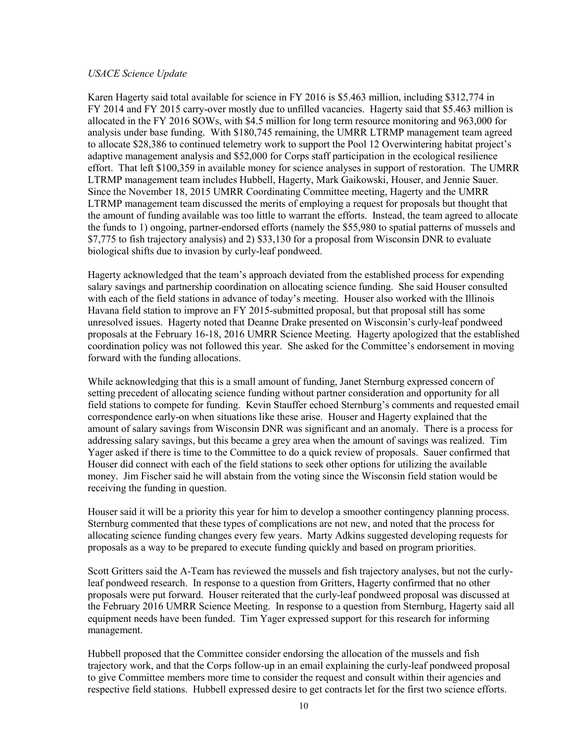#### *USACE Science Update*

Karen Hagerty said total available for science in FY 2016 is \$5.463 million, including \$312,774 in FY 2014 and FY 2015 carry-over mostly due to unfilled vacancies. Hagerty said that \$5.463 million is allocated in the FY 2016 SOWs, with \$4.5 million for long term resource monitoring and 963,000 for analysis under base funding. With \$180,745 remaining, the UMRR LTRMP management team agreed to allocate \$28,386 to continued telemetry work to support the Pool 12 Overwintering habitat project's adaptive management analysis and \$52,000 for Corps staff participation in the ecological resilience effort. That left \$100,359 in available money for science analyses in support of restoration. The UMRR LTRMP management team includes Hubbell, Hagerty, Mark Gaikowski, Houser, and Jennie Sauer. Since the November 18, 2015 UMRR Coordinating Committee meeting, Hagerty and the UMRR LTRMP management team discussed the merits of employing a request for proposals but thought that the amount of funding available was too little to warrant the efforts. Instead, the team agreed to allocate the funds to 1) ongoing, partner-endorsed efforts (namely the \$55,980 to spatial patterns of mussels and \$7,775 to fish trajectory analysis) and 2) \$33,130 for a proposal from Wisconsin DNR to evaluate biological shifts due to invasion by curly-leaf pondweed.

Hagerty acknowledged that the team's approach deviated from the established process for expending salary savings and partnership coordination on allocating science funding. She said Houser consulted with each of the field stations in advance of today's meeting. Houser also worked with the Illinois Havana field station to improve an FY 2015-submitted proposal, but that proposal still has some unresolved issues. Hagerty noted that Deanne Drake presented on Wisconsin's curly-leaf pondweed proposals at the February 16-18, 2016 UMRR Science Meeting. Hagerty apologized that the established coordination policy was not followed this year. She asked for the Committee's endorsement in moving forward with the funding allocations.

While acknowledging that this is a small amount of funding, Janet Sternburg expressed concern of setting precedent of allocating science funding without partner consideration and opportunity for all field stations to compete for funding. Kevin Stauffer echoed Sternburg's comments and requested email correspondence early-on when situations like these arise. Houser and Hagerty explained that the amount of salary savings from Wisconsin DNR was significant and an anomaly. There is a process for addressing salary savings, but this became a grey area when the amount of savings was realized. Tim Yager asked if there is time to the Committee to do a quick review of proposals. Sauer confirmed that Houser did connect with each of the field stations to seek other options for utilizing the available money. Jim Fischer said he will abstain from the voting since the Wisconsin field station would be receiving the funding in question.

Houser said it will be a priority this year for him to develop a smoother contingency planning process. Sternburg commented that these types of complications are not new, and noted that the process for allocating science funding changes every few years. Marty Adkins suggested developing requests for proposals as a way to be prepared to execute funding quickly and based on program priorities.

Scott Gritters said the A-Team has reviewed the mussels and fish trajectory analyses, but not the curlyleaf pondweed research. In response to a question from Gritters, Hagerty confirmed that no other proposals were put forward. Houser reiterated that the curly-leaf pondweed proposal was discussed at the February 2016 UMRR Science Meeting. In response to a question from Sternburg, Hagerty said all equipment needs have been funded. Tim Yager expressed support for this research for informing management.

Hubbell proposed that the Committee consider endorsing the allocation of the mussels and fish trajectory work, and that the Corps follow-up in an email explaining the curly-leaf pondweed proposal to give Committee members more time to consider the request and consult within their agencies and respective field stations. Hubbell expressed desire to get contracts let for the first two science efforts.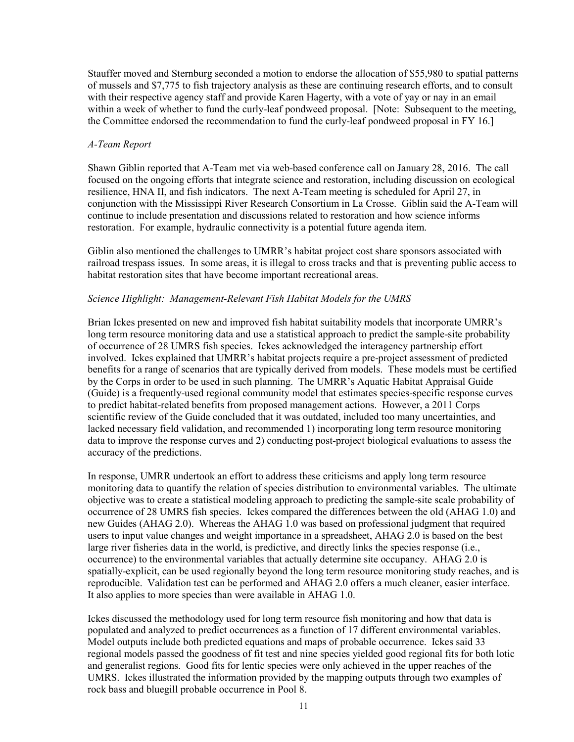Stauffer moved and Sternburg seconded a motion to endorse the allocation of \$55,980 to spatial patterns of mussels and \$7,775 to fish trajectory analysis as these are continuing research efforts, and to consult with their respective agency staff and provide Karen Hagerty, with a vote of yay or nay in an email within a week of whether to fund the curly-leaf pondweed proposal. [Note: Subsequent to the meeting, the Committee endorsed the recommendation to fund the curly-leaf pondweed proposal in FY 16.]

### *A-Team Report*

Shawn Giblin reported that A-Team met via web-based conference call on January 28, 2016. The call focused on the ongoing efforts that integrate science and restoration, including discussion on ecological resilience, HNA II, and fish indicators. The next A-Team meeting is scheduled for April 27, in conjunction with the Mississippi River Research Consortium in La Crosse. Giblin said the A-Team will continue to include presentation and discussions related to restoration and how science informs restoration. For example, hydraulic connectivity is a potential future agenda item.

Giblin also mentioned the challenges to UMRR's habitat project cost share sponsors associated with railroad trespass issues. In some areas, it is illegal to cross tracks and that is preventing public access to habitat restoration sites that have become important recreational areas.

### *Science Highlight: Management-Relevant Fish Habitat Models for the UMRS*

Brian Ickes presented on new and improved fish habitat suitability models that incorporate UMRR's long term resource monitoring data and use a statistical approach to predict the sample-site probability of occurrence of 28 UMRS fish species. Ickes acknowledged the interagency partnership effort involved. Ickes explained that UMRR's habitat projects require a pre-project assessment of predicted benefits for a range of scenarios that are typically derived from models. These models must be certified by the Corps in order to be used in such planning. The UMRR's Aquatic Habitat Appraisal Guide (Guide) is a frequently-used regional community model that estimates species-specific response curves to predict habitat-related benefits from proposed management actions. However, a 2011 Corps scientific review of the Guide concluded that it was outdated, included too many uncertainties, and lacked necessary field validation, and recommended 1) incorporating long term resource monitoring data to improve the response curves and 2) conducting post-project biological evaluations to assess the accuracy of the predictions.

In response, UMRR undertook an effort to address these criticisms and apply long term resource monitoring data to quantify the relation of species distribution to environmental variables. The ultimate objective was to create a statistical modeling approach to predicting the sample-site scale probability of occurrence of 28 UMRS fish species. Ickes compared the differences between the old (AHAG 1.0) and new Guides (AHAG 2.0). Whereas the AHAG 1.0 was based on professional judgment that required users to input value changes and weight importance in a spreadsheet, AHAG 2.0 is based on the best large river fisheries data in the world, is predictive, and directly links the species response (i.e., occurrence) to the environmental variables that actually determine site occupancy. AHAG 2.0 is spatially-explicit, can be used regionally beyond the long term resource monitoring study reaches, and is reproducible. Validation test can be performed and AHAG 2.0 offers a much cleaner, easier interface. It also applies to more species than were available in AHAG 1.0.

Ickes discussed the methodology used for long term resource fish monitoring and how that data is populated and analyzed to predict occurrences as a function of 17 different environmental variables. Model outputs include both predicted equations and maps of probable occurrence. Ickes said 33 regional models passed the goodness of fit test and nine species yielded good regional fits for both lotic and generalist regions. Good fits for lentic species were only achieved in the upper reaches of the UMRS. Ickes illustrated the information provided by the mapping outputs through two examples of rock bass and bluegill probable occurrence in Pool 8.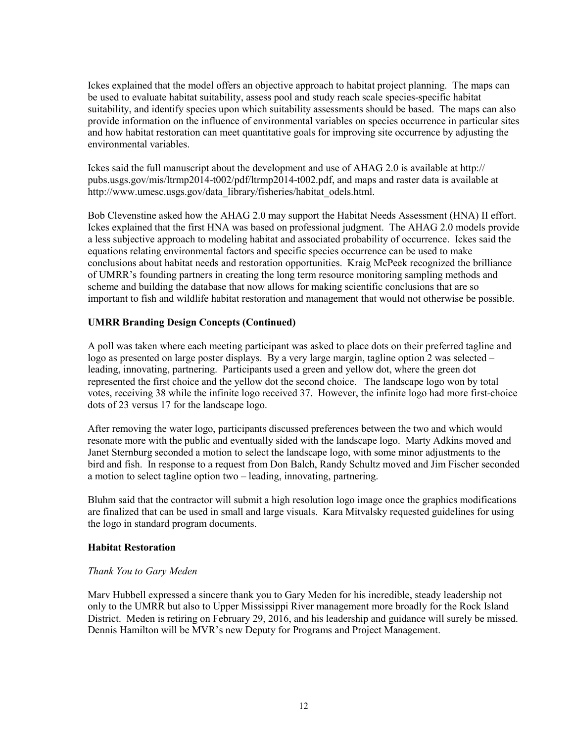Ickes explained that the model offers an objective approach to habitat project planning. The maps can be used to evaluate habitat suitability, assess pool and study reach scale species-specific habitat suitability, and identify species upon which suitability assessments should be based. The maps can also provide information on the influence of environmental variables on species occurrence in particular sites and how habitat restoration can meet quantitative goals for improving site occurrence by adjusting the environmental variables.

Ickes said the full manuscript about the development and use of AHAG 2.0 is available at http:// [pubs.usgs.gov/mis/ltrmp2014-t002/pdf/ltrmp2014-t002.pdf,](http://pubs.usgs.gov/mis/ltrmp2014-t002/pdf/ltrmp2014-t002.pdf) and maps and raster data is available at [http://www.umesc.usgs.gov/data\\_library/fisheries/habitat\\_odels.html.](http://www.umesc.usgs.gov/data_library/fisheries/habitat_models.html) 

Bob Clevenstine asked how the AHAG 2.0 may support the Habitat Needs Assessment (HNA) II effort. Ickes explained that the first HNA was based on professional judgment. The AHAG 2.0 models provide a less subjective approach to modeling habitat and associated probability of occurrence. Ickes said the equations relating environmental factors and specific species occurrence can be used to make conclusions about habitat needs and restoration opportunities. Kraig McPeek recognized the brilliance of UMRR's founding partners in creating the long term resource monitoring sampling methods and scheme and building the database that now allows for making scientific conclusions that are so important to fish and wildlife habitat restoration and management that would not otherwise be possible.

### **UMRR Branding Design Concepts (Continued)**

A poll was taken where each meeting participant was asked to place dots on their preferred tagline and logo as presented on large poster displays. By a very large margin, tagline option 2 was selected – leading, innovating, partnering. Participants used a green and yellow dot, where the green dot represented the first choice and the yellow dot the second choice. The landscape logo won by total votes, receiving 38 while the infinite logo received 37. However, the infinite logo had more first-choice dots of 23 versus 17 for the landscape logo.

After removing the water logo, participants discussed preferences between the two and which would resonate more with the public and eventually sided with the landscape logo. Marty Adkins moved and Janet Sternburg seconded a motion to select the landscape logo, with some minor adjustments to the bird and fish. In response to a request from Don Balch, Randy Schultz moved and Jim Fischer seconded a motion to select tagline option two – leading, innovating, partnering.

Bluhm said that the contractor will submit a high resolution logo image once the graphics modifications are finalized that can be used in small and large visuals. Kara Mitvalsky requested guidelines for using the logo in standard program documents.

#### **Habitat Restoration**

#### *Thank You to Gary Meden*

Marv Hubbell expressed a sincere thank you to Gary Meden for his incredible, steady leadership not only to the UMRR but also to Upper Mississippi River management more broadly for the Rock Island District. Meden is retiring on February 29, 2016, and his leadership and guidance will surely be missed. Dennis Hamilton will be MVR's new Deputy for Programs and Project Management.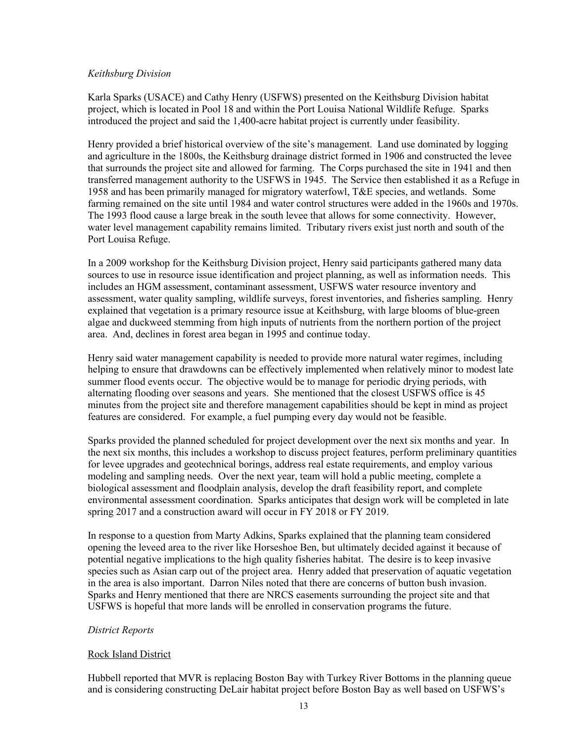### *Keithsburg Division*

Karla Sparks (USACE) and Cathy Henry (USFWS) presented on the Keithsburg Division habitat project, which is located in Pool 18 and within the Port Louisa National Wildlife Refuge. Sparks introduced the project and said the 1,400-acre habitat project is currently under feasibility.

Henry provided a brief historical overview of the site's management. Land use dominated by logging and agriculture in the 1800s, the Keithsburg drainage district formed in 1906 and constructed the levee that surrounds the project site and allowed for farming. The Corps purchased the site in 1941 and then transferred management authority to the USFWS in 1945. The Service then established it as a Refuge in 1958 and has been primarily managed for migratory waterfowl, T&E species, and wetlands. Some farming remained on the site until 1984 and water control structures were added in the 1960s and 1970s. The 1993 flood cause a large break in the south levee that allows for some connectivity. However, water level management capability remains limited. Tributary rivers exist just north and south of the Port Louisa Refuge.

In a 2009 workshop for the Keithsburg Division project, Henry said participants gathered many data sources to use in resource issue identification and project planning, as well as information needs. This includes an HGM assessment, contaminant assessment, USFWS water resource inventory and assessment, water quality sampling, wildlife surveys, forest inventories, and fisheries sampling. Henry explained that vegetation is a primary resource issue at Keithsburg, with large blooms of blue-green algae and duckweed stemming from high inputs of nutrients from the northern portion of the project area. And, declines in forest area began in 1995 and continue today.

Henry said water management capability is needed to provide more natural water regimes, including helping to ensure that drawdowns can be effectively implemented when relatively minor to modest late summer flood events occur. The objective would be to manage for periodic drying periods, with alternating flooding over seasons and years. She mentioned that the closest USFWS office is 45 minutes from the project site and therefore management capabilities should be kept in mind as project features are considered. For example, a fuel pumping every day would not be feasible.

Sparks provided the planned scheduled for project development over the next six months and year. In the next six months, this includes a workshop to discuss project features, perform preliminary quantities for levee upgrades and geotechnical borings, address real estate requirements, and employ various modeling and sampling needs. Over the next year, team will hold a public meeting, complete a biological assessment and floodplain analysis, develop the draft feasibility report, and complete environmental assessment coordination. Sparks anticipates that design work will be completed in late spring 2017 and a construction award will occur in FY 2018 or FY 2019.

In response to a question from Marty Adkins, Sparks explained that the planning team considered opening the leveed area to the river like Horseshoe Ben, but ultimately decided against it because of potential negative implications to the high quality fisheries habitat. The desire is to keep invasive species such as Asian carp out of the project area. Henry added that preservation of aquatic vegetation in the area is also important. Darron Niles noted that there are concerns of button bush invasion. Sparks and Henry mentioned that there are NRCS easements surrounding the project site and that USFWS is hopeful that more lands will be enrolled in conservation programs the future.

# *District Reports*

# Rock Island District

Hubbell reported that MVR is replacing Boston Bay with Turkey River Bottoms in the planning queue and is considering constructing DeLair habitat project before Boston Bay as well based on USFWS's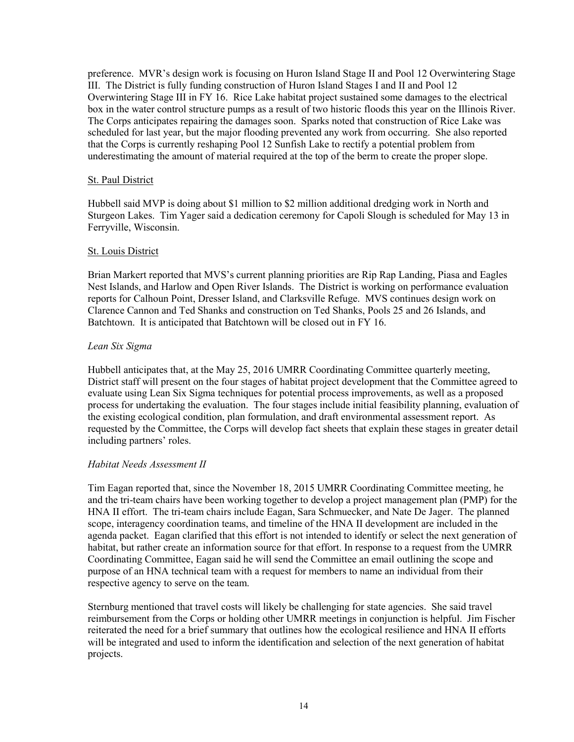preference. MVR's design work is focusing on Huron Island Stage II and Pool 12 Overwintering Stage III. The District is fully funding construction of Huron Island Stages I and II and Pool 12 Overwintering Stage III in FY 16. Rice Lake habitat project sustained some damages to the electrical box in the water control structure pumps as a result of two historic floods this year on the Illinois River. The Corps anticipates repairing the damages soon. Sparks noted that construction of Rice Lake was scheduled for last year, but the major flooding prevented any work from occurring. She also reported that the Corps is currently reshaping Pool 12 Sunfish Lake to rectify a potential problem from underestimating the amount of material required at the top of the berm to create the proper slope.

### St. Paul District

Hubbell said MVP is doing about \$1 million to \$2 million additional dredging work in North and Sturgeon Lakes. Tim Yager said a dedication ceremony for Capoli Slough is scheduled for May 13 in Ferryville, Wisconsin.

### St. Louis District

Brian Markert reported that MVS's current planning priorities are Rip Rap Landing, Piasa and Eagles Nest Islands, and Harlow and Open River Islands. The District is working on performance evaluation reports for Calhoun Point, Dresser Island, and Clarksville Refuge. MVS continues design work on Clarence Cannon and Ted Shanks and construction on Ted Shanks, Pools 25 and 26 Islands, and Batchtown. It is anticipated that Batchtown will be closed out in FY 16.

### *Lean Six Sigma*

Hubbell anticipates that, at the May 25, 2016 UMRR Coordinating Committee quarterly meeting, District staff will present on the four stages of habitat project development that the Committee agreed to evaluate using Lean Six Sigma techniques for potential process improvements, as well as a proposed process for undertaking the evaluation. The four stages include initial feasibility planning, evaluation of the existing ecological condition, plan formulation, and draft environmental assessment report. As requested by the Committee, the Corps will develop fact sheets that explain these stages in greater detail including partners' roles.

# *Habitat Needs Assessment II*

Tim Eagan reported that, since the November 18, 2015 UMRR Coordinating Committee meeting, he and the tri-team chairs have been working together to develop a project management plan (PMP) for the HNA II effort. The tri-team chairs include Eagan, Sara Schmuecker, and Nate De Jager. The planned scope, interagency coordination teams, and timeline of the HNA II development are included in the agenda packet. Eagan clarified that this effort is not intended to identify or select the next generation of habitat, but rather create an information source for that effort. In response to a request from the UMRR Coordinating Committee, Eagan said he will send the Committee an email outlining the scope and purpose of an HNA technical team with a request for members to name an individual from their respective agency to serve on the team.

Sternburg mentioned that travel costs will likely be challenging for state agencies. She said travel reimbursement from the Corps or holding other UMRR meetings in conjunction is helpful. Jim Fischer reiterated the need for a brief summary that outlines how the ecological resilience and HNA II efforts will be integrated and used to inform the identification and selection of the next generation of habitat projects.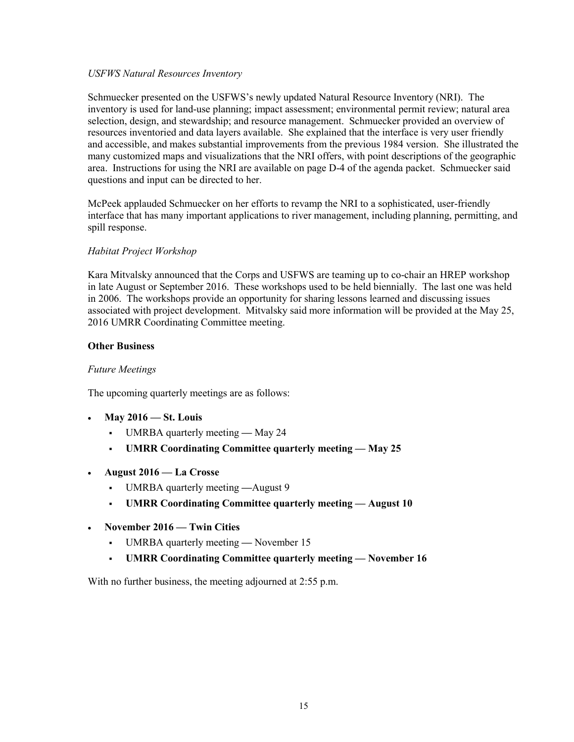#### *USFWS Natural Resources Inventory*

Schmuecker presented on the USFWS's newly updated Natural Resource Inventory (NRI). The inventory is used for land-use planning; impact assessment; environmental permit review; natural area selection, design, and stewardship; and resource management. Schmuecker provided an overview of resources inventoried and data layers available. She explained that the interface is very user friendly and accessible, and makes substantial improvements from the previous 1984 version. She illustrated the many customized maps and visualizations that the NRI offers, with point descriptions of the geographic area. Instructions for using the NRI are available on page D-4 of the agenda packet. Schmuecker said questions and input can be directed to her.

McPeek applauded Schmuecker on her efforts to revamp the NRI to a sophisticated, user-friendly interface that has many important applications to river management, including planning, permitting, and spill response.

#### *Habitat Project Workshop*

Kara Mitvalsky announced that the Corps and USFWS are teaming up to co-chair an HREP workshop in late August or September 2016. These workshops used to be held biennially. The last one was held in 2006. The workshops provide an opportunity for sharing lessons learned and discussing issues associated with project development. Mitvalsky said more information will be provided at the May 25, 2016 UMRR Coordinating Committee meeting.

#### **Other Business**

#### *Future Meetings*

The upcoming quarterly meetings are as follows:

- **May 2016 St. Louis** 
	- UMRBA quarterly meeting May 24
	- **UMRR Coordinating Committee quarterly meeting May 25**
- **August 2016 La Crosse**
	- UMRBA quarterly meeting **—**August 9
	- **UMRR Coordinating Committee quarterly meeting August 10**
- **November 2016 Twin Cities**
	- UMRBA quarterly meeting **—** November 15
	- **UMRR Coordinating Committee quarterly meeting November 16**

With no further business, the meeting adjourned at 2:55 p.m.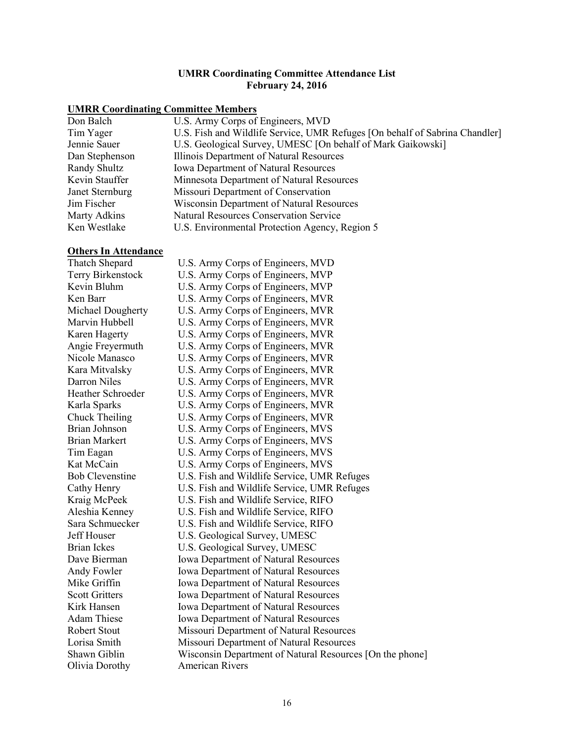#### **UMRR Coordinating Committee Attendance List February 24, 2016**

# **UMRR Coordinating Committee Members**

| Don Balch       | U.S. Army Corps of Engineers, MVD                                           |
|-----------------|-----------------------------------------------------------------------------|
| Tim Yager       | U.S. Fish and Wildlife Service, UMR Refuges [On behalf of Sabrina Chandler] |
| Jennie Sauer    | U.S. Geological Survey, UMESC [On behalf of Mark Gaikowski]                 |
| Dan Stephenson  | Illinois Department of Natural Resources                                    |
| Randy Shultz    | <b>Iowa Department of Natural Resources</b>                                 |
| Kevin Stauffer  | Minnesota Department of Natural Resources                                   |
| Janet Sternburg | Missouri Department of Conservation                                         |
| Jim Fischer     | Wisconsin Department of Natural Resources                                   |
| Marty Adkins    | <b>Natural Resources Conservation Service</b>                               |
| Ken Westlake    | U.S. Environmental Protection Agency, Region 5                              |
|                 |                                                                             |

### **Others In Attendance**

| Thatch Shepard           | U.S. Army Corps of Engineers, MVD                        |
|--------------------------|----------------------------------------------------------|
| Terry Birkenstock        | U.S. Army Corps of Engineers, MVP                        |
| Kevin Bluhm              | U.S. Army Corps of Engineers, MVP                        |
| Ken Barr                 | U.S. Army Corps of Engineers, MVR                        |
| Michael Dougherty        | U.S. Army Corps of Engineers, MVR                        |
| Marvin Hubbell           | U.S. Army Corps of Engineers, MVR                        |
| Karen Hagerty            | U.S. Army Corps of Engineers, MVR                        |
| Angie Freyermuth         | U.S. Army Corps of Engineers, MVR                        |
| Nicole Manasco           | U.S. Army Corps of Engineers, MVR                        |
| Kara Mitvalsky           | U.S. Army Corps of Engineers, MVR                        |
| Darron Niles             | U.S. Army Corps of Engineers, MVR                        |
| <b>Heather Schroeder</b> | U.S. Army Corps of Engineers, MVR                        |
| Karla Sparks             | U.S. Army Corps of Engineers, MVR                        |
| Chuck Theiling           | U.S. Army Corps of Engineers, MVR                        |
| Brian Johnson            | U.S. Army Corps of Engineers, MVS                        |
| <b>Brian Markert</b>     | U.S. Army Corps of Engineers, MVS                        |
| Tim Eagan                | U.S. Army Corps of Engineers, MVS                        |
| Kat McCain               | U.S. Army Corps of Engineers, MVS                        |
| <b>Bob Clevenstine</b>   | U.S. Fish and Wildlife Service, UMR Refuges              |
| Cathy Henry              | U.S. Fish and Wildlife Service, UMR Refuges              |
| Kraig McPeek             | U.S. Fish and Wildlife Service, RIFO                     |
| Aleshia Kenney           | U.S. Fish and Wildlife Service, RIFO                     |
| Sara Schmuecker          | U.S. Fish and Wildlife Service, RIFO                     |
| Jeff Houser              | U.S. Geological Survey, UMESC                            |
| <b>Brian Ickes</b>       | U.S. Geological Survey, UMESC                            |
| Dave Bierman             | <b>Iowa Department of Natural Resources</b>              |
| Andy Fowler              | <b>Iowa Department of Natural Resources</b>              |
| Mike Griffin             | <b>Iowa Department of Natural Resources</b>              |
| <b>Scott Gritters</b>    | <b>Iowa Department of Natural Resources</b>              |
| Kirk Hansen              | <b>Iowa Department of Natural Resources</b>              |
| <b>Adam Thiese</b>       | Iowa Department of Natural Resources                     |
| <b>Robert Stout</b>      | Missouri Department of Natural Resources                 |
| Lorisa Smith             | Missouri Department of Natural Resources                 |
| Shawn Giblin             | Wisconsin Department of Natural Resources [On the phone] |
| Olivia Dorothy           | <b>American Rivers</b>                                   |